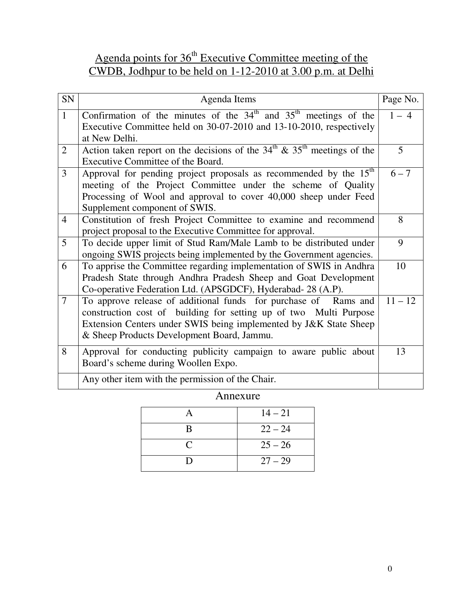# Agenda points for 36<sup>th</sup> Executive Committee meeting of the CWDB, Jodhpur to be held on 1-12-2010 at 3.00 p.m. at Delhi

| SN             | Agenda Items                                                                                                                                                                                                                                            | Page No.  |
|----------------|---------------------------------------------------------------------------------------------------------------------------------------------------------------------------------------------------------------------------------------------------------|-----------|
| $\mathbf{1}$   | Confirmation of the minutes of the $34th$ and $35th$ meetings of the<br>Executive Committee held on 30-07-2010 and 13-10-2010, respectively<br>at New Delhi.                                                                                            | $1 - 4$   |
| $\overline{2}$ | Action taken report on the decisions of the $34th \& 35th$ meetings of the<br>Executive Committee of the Board.                                                                                                                                         | 5         |
| 3              | Approval for pending project proposals as recommended by the 15 <sup>th</sup><br>meeting of the Project Committee under the scheme of Quality<br>Processing of Wool and approval to cover 40,000 sheep under Feed<br>Supplement component of SWIS.      | $6 - 7$   |
| $\overline{4}$ | Constitution of fresh Project Committee to examine and recommend<br>project proposal to the Executive Committee for approval.                                                                                                                           | 8         |
| 5              | To decide upper limit of Stud Ram/Male Lamb to be distributed under<br>ongoing SWIS projects being implemented by the Government agencies.                                                                                                              | 9         |
| 6              | To apprise the Committee regarding implementation of SWIS in Andhra<br>Pradesh State through Andhra Pradesh Sheep and Goat Development<br>Co-operative Federation Ltd. (APSGDCF), Hyderabad- 28 (A.P).                                                  | 10        |
| $\overline{7}$ | To approve release of additional funds for purchase of Rams and<br>construction cost of building for setting up of two Multi Purpose<br>Extension Centers under SWIS being implemented by J&K State Sheep<br>& Sheep Products Development Board, Jammu. | $11 - 12$ |
| 8              | Approval for conducting publicity campaign to aware public about<br>Board's scheme during Woollen Expo.                                                                                                                                                 | 13        |
|                | Any other item with the permission of the Chair.                                                                                                                                                                                                        |           |

Annexure

|   | $14 - 21$ |
|---|-----------|
| B | $22 - 24$ |
| C | $25 - 26$ |
| D | $27 - 29$ |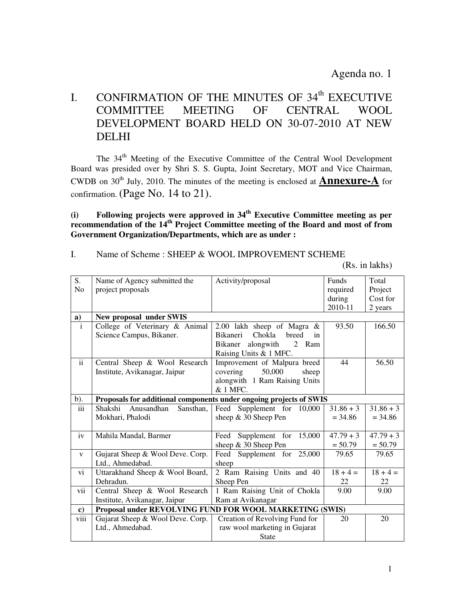Agenda no. 1

# I. CONFIRMATION OF THE MINUTES OF 34<sup>th</sup> EXECUTIVE<br>COMMITTEE MEETING OF CENTRAL WOOL COMMITTEE MEETING OF CENTRAL WOOL DEVELOPMENT BOARD HELD ON 30-07-2010 AT NEW DELHI

The 34<sup>th</sup> Meeting of the Executive Committee of the Central Wool Development Board was presided over by Shri S. S. Gupta, Joint Secretary, MOT and Vice Chairman, CWDB on  $30<sup>th</sup>$  July, 2010. The minutes of the meeting is enclosed at **Annexure-A** for confirmation. (Page No. 14 to 21).

### **(i) Following projects were approved in 34th Executive Committee meeting as per recommendation of the 14th Project Committee meeting of the Board and most of from Government Organization/Departments, which are as under :**

### I. Name of Scheme : SHEEP & WOOL IMPROVEMENT SCHEME

(Rs. in lakhs)

| S.             | Name of Agency submitted the                                       | Activity/proposal                        | <b>Funds</b> | Total       |
|----------------|--------------------------------------------------------------------|------------------------------------------|--------------|-------------|
| N <sub>o</sub> | project proposals                                                  |                                          | required     | Project     |
|                |                                                                    |                                          | during       | Cost for    |
|                |                                                                    |                                          | 2010-11      | 2 years     |
| a)             | New proposal under SWIS                                            |                                          |              |             |
| $\mathbf{i}$   | College of Veterinary & Animal                                     | 2.00 lakh sheep of Magra $\&$            | 93.50        | 166.50      |
|                | Science Campus, Bikaner.                                           | Chokla<br><b>Bikaneri</b><br>breed<br>in |              |             |
|                |                                                                    | alongwith<br>2 Ram<br>Bikaner            |              |             |
|                |                                                                    | Raising Units & 1 MFC.                   |              |             |
| $\mathbf{ii}$  | Central Sheep & Wool Research                                      | Improvement of Malpura breed             | 44           | 56.50       |
|                | Institute, Avikanagar, Jaipur                                      | covering<br>50,000<br>sheep              |              |             |
|                |                                                                    | alongwith 1 Ram Raising Units            |              |             |
|                |                                                                    | & 1 MFC.                                 |              |             |
| $b)$ .         | Proposals for additional components under ongoing projects of SWIS |                                          |              |             |
| iii            | Shakshi<br>Anusandhan<br>Sansthan,                                 | Feed Supplement for 10,000               | $31.86 + 3$  | $31.86 + 3$ |
|                | Mokhari, Phalodi                                                   | sheep & 30 Sheep Pen                     | $= 34.86$    | $= 34.86$   |
|                |                                                                    |                                          |              |             |
| iv             | Mahila Mandal, Barmer                                              | Supplement for<br>15,000<br>Feed         | $47.79 + 3$  | $47.79 + 3$ |
|                |                                                                    | sheep & 30 Sheep Pen                     | $= 50.79$    | $= 50.79$   |
| $\mathbf{V}$   | Gujarat Sheep & Wool Deve. Corp.                                   | Feed Supplement for 25,000               | 79.65        | 79.65       |
|                | Ltd., Ahmedabad.                                                   | sheep                                    |              |             |
| vi             | Uttarakhand Sheep & Wool Board,                                    | 2 Ram Raising Units and 40               | $18 + 4 =$   | $18 + 4 =$  |
|                | Dehradun.                                                          | Sheep Pen                                | 22           | 22          |
| vii            | Central Sheep & Wool Research                                      | 1 Ram Raising Unit of Chokla             | 9.00         | 9.00        |
|                | Institute, Avikanagar, Jaipur                                      | Ram at Avikanagar                        |              |             |
| c)             | Proposal under REVOLVING FUND FOR WOOL MARKETING (SWIS)            |                                          |              |             |
| viii           | Gujarat Sheep & Wool Deve. Corp.                                   | Creation of Revolving Fund for           | 20           | 20          |
|                | Ltd., Ahmedabad.                                                   | raw wool marketing in Gujarat            |              |             |
|                |                                                                    | State                                    |              |             |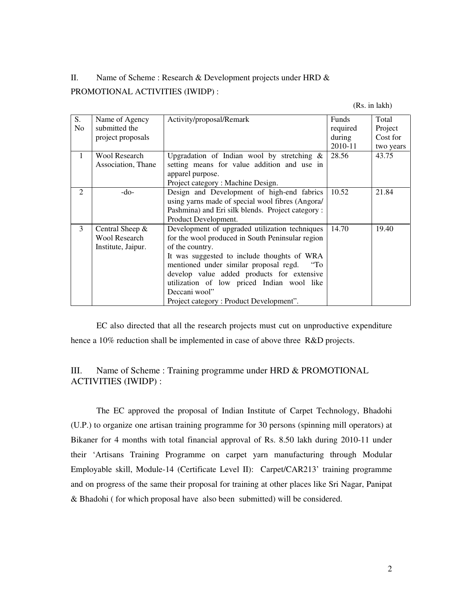## II. Name of Scheme : Research & Development projects under HRD & PROMOTIONAL ACTIVITIES (IWIDP) :

(Rs. in lakh)

| S.<br>N <sub>0</sub> | Name of Agency<br>submitted the<br>project proposals            | Activity/proposal/Remark                                                                                                                                                                                                                                                                                                                                                              | Funds<br>required<br>during<br>2010-11 | Total<br>Project<br>Cost for<br>two years |
|----------------------|-----------------------------------------------------------------|---------------------------------------------------------------------------------------------------------------------------------------------------------------------------------------------------------------------------------------------------------------------------------------------------------------------------------------------------------------------------------------|----------------------------------------|-------------------------------------------|
| 1                    | <b>Wool Research</b><br>Association, Thane                      | Upgradation of Indian wool by stretching $\&$<br>setting means for value addition and use in<br>apparel purpose.<br>Project category: Machine Design.                                                                                                                                                                                                                                 | 28.56                                  | 43.75                                     |
| 2                    | $-do-$                                                          | Design and Development of high-end fabrics<br>using yarns made of special wool fibres (Angora/<br>Pashmina) and Eri silk blends. Project category:<br>Product Development.                                                                                                                                                                                                            | 10.52                                  | 21.84                                     |
| 3                    | Central Sheep $&$<br><b>Wool Research</b><br>Institute, Jaipur. | Development of upgraded utilization techniques<br>for the wool produced in South Peninsular region<br>of the country.<br>It was suggested to include thoughts of WRA<br>mentioned under similar proposal regd.<br>$\cdot$ "To<br>develop value added products for extensive<br>utilization of low priced Indian wool like<br>Deccani wool"<br>Project category: Product Development". | 14.70                                  | 19.40                                     |

 EC also directed that all the research projects must cut on unproductive expenditure hence a 10% reduction shall be implemented in case of above three R&D projects.

## III. Name of Scheme : Training programme under HRD & PROMOTIONAL ACTIVITIES (IWIDP) :

 The EC approved the proposal of Indian Institute of Carpet Technology, Bhadohi (U.P.) to organize one artisan training programme for 30 persons (spinning mill operators) at Bikaner for 4 months with total financial approval of Rs. 8.50 lakh during 2010-11 under their 'Artisans Training Programme on carpet yarn manufacturing through Modular Employable skill, Module-14 (Certificate Level II): Carpet/CAR213' training programme and on progress of the same their proposal for training at other places like Sri Nagar, Panipat & Bhadohi ( for which proposal have also been submitted) will be considered.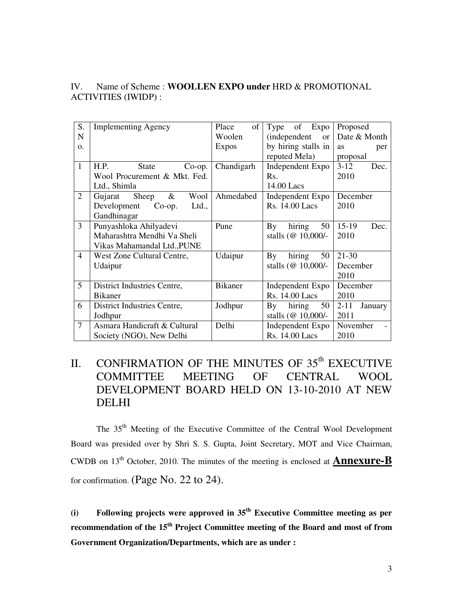## IV. Name of Scheme : **WOOLLEN EXPO under** HRD & PROMOTIONAL ACTIVITIES (IWIDP) :

| S.             | <b>Implementing Agency</b>        | Place<br>of    | of<br>Expo<br>Type                | Proposed            |
|----------------|-----------------------------------|----------------|-----------------------------------|---------------------|
| $\mathbf N$    |                                   | Woolen         | <i>(independent)</i><br><b>or</b> | Date & Month        |
| $\Omega$ .     |                                   | <b>Expos</b>   | by hiring stalls in               | <b>as</b><br>per    |
|                |                                   |                | reputed Mela)                     | proposal            |
| $\mathbf{1}$   | H.P.<br><b>State</b><br>$Co$ -op. | Chandigarh     | Independent Expo                  | $3 - 12$<br>Dec.    |
|                | Wool Procurement & Mkt. Fed.      |                | Rs.                               | 2010                |
|                | Ltd., Shimla                      |                | 14.00 Lacs                        |                     |
| $\overline{2}$ | $\&$<br>Wool<br>Gujarat<br>Sheep  | Ahmedabed      | Independent Expo                  | December            |
|                | Development<br>$Co$ -op.<br>Ltd., |                | Rs. 14.00 Lacs                    | 2010                |
|                | Gandhinagar                       |                |                                   |                     |
| $\overline{3}$ | Punyashloka Ahilyadevi            | Pune           | hiring<br>By<br>50                | $15-19$<br>Dec.     |
|                | Maharashtra Mendhi Va Sheli       |                | stalls (@ 10,000/-                | 2010                |
|                | Vikas Mahamandal Ltd., PUNE       |                |                                   |                     |
| 4              | West Zone Cultural Centre,        | Udaipur        | hiring<br>50<br>By                | $21 - 30$           |
|                | Udaipur                           |                | stalls ( $@10,000/-$              | December            |
|                |                                   |                |                                   | 2010                |
| 5              | District Industries Centre,       | <b>Bikaner</b> | Independent Expo                  | December            |
|                | <b>Bikaner</b>                    |                | Rs. 14.00 Lacs                    | 2010                |
| 6              | District Industries Centre,       | Jodhpur        | hiring<br>50<br>By                | $2 - 11$<br>January |
|                | Jodhpur                           |                | stalls ( $@10,000/-$              | 2011                |
| 7              | Asmara Handicraft & Cultural      | Delhi          | Independent Expo                  | November            |
|                | Society (NGO), New Delhi          |                | Rs. 14.00 Lacs                    | 2010                |

## II. CONFIRMATION OF THE MINUTES OF  $35<sup>th</sup>$  EXECUTIVE COMMITTEE MEETING OF CENTRAL WOOL DEVELOPMENT BOARD HELD ON 13-10-2010 AT NEW DELHI

 The 35th Meeting of the Executive Committee of the Central Wool Development Board was presided over by Shri S. S. Gupta, Joint Secretary, MOT and Vice Chairman, CWDB on 13th October, 2010. The minutes of the meeting is enclosed at **Annexure-B** for confirmation. (Page No. 22 to 24).

**(i) Following projects were approved in 35th Executive Committee meeting as per recommendation of the 15th Project Committee meeting of the Board and most of from Government Organization/Departments, which are as under :**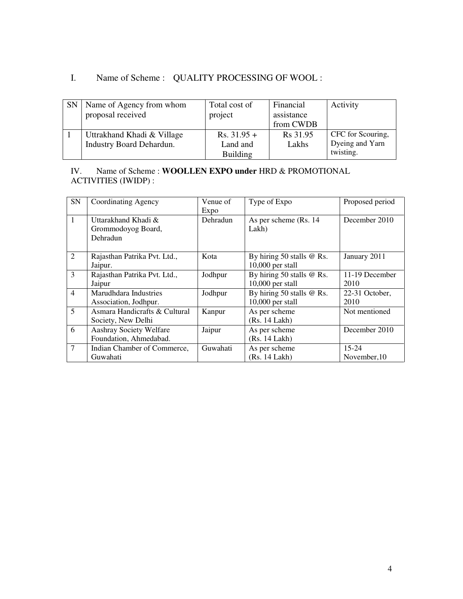## I. Name of Scheme : QUALITY PROCESSING OF WOOL :

| <b>SN</b> | Name of Agency from whom<br>proposal received | Total cost of<br>project | Financial<br>assistance<br>from CWDB | Activity          |
|-----------|-----------------------------------------------|--------------------------|--------------------------------------|-------------------|
|           | Uttrakhand Khadi & Village                    | $Rs. 31.95 +$            | Rs 31.95                             | CFC for Scouring, |
|           | <b>Industry Board Dehardun.</b>               | Land and                 | Lakhs                                | Dyeing and Yarn   |
|           |                                               | <b>Building</b>          |                                      | twisting.         |

### IV. Name of Scheme : **WOOLLEN EXPO under** HRD & PROMOTIONAL ACTIVITIES (IWIDP) :

| SN             | Coordinating Agency           | Venue of | Type of Expo                | Proposed period |
|----------------|-------------------------------|----------|-----------------------------|-----------------|
|                |                               | Expo     |                             |                 |
| $\mathbf{1}$   | Uttarakhand Khadi &           | Dehradun | As per scheme (Rs. 14)      | December 2010   |
|                | Grommodoyog Board,            |          | Lakh)                       |                 |
|                | Dehradun                      |          |                             |                 |
|                |                               |          |                             |                 |
| 2              | Rajasthan Patrika Pvt. Ltd.,  | Kota     | By hiring 50 stalls @ Rs.   | January 2011    |
|                | Jaipur.                       |          | $10,000$ per stall          |                 |
| 3              | Rajasthan Patrika Pvt. Ltd.,  | Jodhpur  | By hiring 50 stalls $@$ Rs. | 11-19 December  |
|                | Jaipur                        |          | $10,000$ per stall          | 2010            |
| $\overline{4}$ | Marudhdara Industries         | Jodhpur  | By hiring 50 stalls @ Rs.   | 22-31 October,  |
|                | Association, Jodhpur.         |          | $10,000$ per stall          | 2010            |
| $\overline{5}$ | Asmara Handicrafts & Cultural | Kanpur   | As per scheme               | Not mentioned   |
|                | Society, New Delhi            |          | (Rs. 14 Lakh)               |                 |
| 6              | Aashray Society Welfare       | Jaipur   | As per scheme               | December 2010   |
|                | Foundation, Ahmedabad.        |          | (Rs. 14 Lakh)               |                 |
| $\overline{7}$ | Indian Chamber of Commerce,   | Guwahati | As per scheme               | $15 - 24$       |
|                | Guwahati                      |          | (Rs. 14 Lakh)               | November, 10    |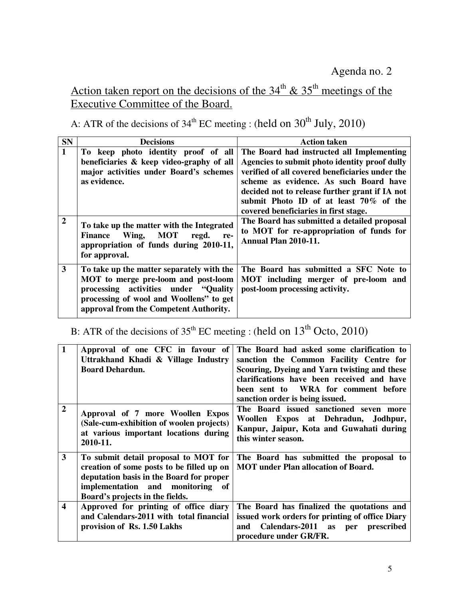# Action taken report on the decisions of the  $34<sup>th</sup>$  &  $35<sup>th</sup>$  meetings of the Executive Committee of the Board.

A: ATR of the decisions of  $34<sup>th</sup>$  EC meeting : (held on  $30<sup>th</sup>$  July, 2010)

| <b>SN</b>      | <b>Decisions</b>                                                                                                                                                                                               | <b>Action taken</b>                                                                                                                                                                                                                                                                                                          |
|----------------|----------------------------------------------------------------------------------------------------------------------------------------------------------------------------------------------------------------|------------------------------------------------------------------------------------------------------------------------------------------------------------------------------------------------------------------------------------------------------------------------------------------------------------------------------|
| $\mathbf{1}$   | To keep photo identity proof of all<br>beneficiaries & keep video-graphy of all<br>major activities under Board's schemes<br>as evidence.                                                                      | The Board had instructed all Implementing<br>Agencies to submit photo identity proof dully<br>verified of all covered beneficiaries under the<br>scheme as evidence. As such Board have<br>decided not to release further grant if IA not<br>submit Photo ID of at least 70% of the<br>covered beneficiaries in first stage. |
| $\overline{2}$ | To take up the matter with the Integrated<br>Wing, MOT<br><b>Finance</b><br>regd.<br>re-<br>appropriation of funds during 2010-11,<br>for approval.                                                            | The Board has submitted a detailed proposal<br>to MOT for re-appropriation of funds for<br>Annual Plan 2010-11.                                                                                                                                                                                                              |
| 3              | To take up the matter separately with the<br>MOT to merge pre-loom and post-loom<br>processing activities under "Quality"<br>processing of wool and Woollens" to get<br>approval from the Competent Authority. | The Board has submitted a SFC Note to<br>MOT including merger of pre-loom and<br>post-loom processing activity.                                                                                                                                                                                                              |

B: ATR of the decisions of  $35<sup>th</sup>$  EC meeting : (held on  $13<sup>th</sup>$  Octo, 2010)

| $\mathbf{1}$            | Approval of one CFC in favour of<br>Uttrakhand Khadi & Village Industry<br><b>Board Dehardun.</b>                                                                                                    | The Board had asked some clarification to<br>sanction the Common Facility Centre for<br>Scouring, Dyeing and Yarn twisting and these<br>clarifications have been received and have<br>been sent to WRA for comment before<br>sanction order is being issued. |
|-------------------------|------------------------------------------------------------------------------------------------------------------------------------------------------------------------------------------------------|--------------------------------------------------------------------------------------------------------------------------------------------------------------------------------------------------------------------------------------------------------------|
| $\overline{2}$          | Approval of 7 more Woollen Expos<br>(Sale-cum-exhibition of woolen projects)<br>at various important locations during<br>2010-11.                                                                    | The Board issued sanctioned seven more<br>Woollen Expos at Dehradun, Jodhpur,<br>Kanpur, Jaipur, Kota and Guwahati during<br>this winter season.                                                                                                             |
| $\overline{\mathbf{3}}$ | To submit detail proposal to MOT for<br>creation of some posts to be filled up on<br>deputation basis in the Board for proper<br>implementation and monitoring of<br>Board's projects in the fields. | The Board has submitted the proposal to<br><b>MOT</b> under Plan allocation of Board.                                                                                                                                                                        |
| $\overline{\mathbf{4}}$ | Approved for printing of office diary<br>and Calendars-2011 with total financial<br>provision of Rs. 1.50 Lakhs                                                                                      | The Board has finalized the quotations and<br>issued work orders for printing of office Diary<br>and Calendars-2011 as per prescribed<br>procedure under GR/FR.                                                                                              |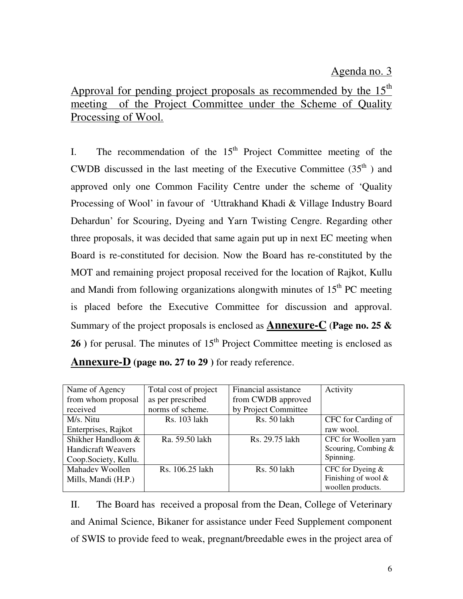## Agenda no. 3

Approval for pending project proposals as recommended by the  $15<sup>th</sup>$ meeting of the Project Committee under the Scheme of Quality Processing of Wool.

I. The recommendation of the  $15<sup>th</sup>$  Project Committee meeting of the CWDB discussed in the last meeting of the Executive Committee  $(35<sup>th</sup>)$  and approved only one Common Facility Centre under the scheme of 'Quality Processing of Wool' in favour of 'Uttrakhand Khadi & Village Industry Board Dehardun' for Scouring, Dyeing and Yarn Twisting Cengre. Regarding other three proposals, it was decided that same again put up in next EC meeting when Board is re-constituted for decision. Now the Board has re-constituted by the MOT and remaining project proposal received for the location of Rajkot, Kullu and Mandi from following organizations alongwith minutes of  $15<sup>th</sup>$  PC meeting is placed before the Executive Committee for discussion and approval. Summary of the project proposals is enclosed as **Annexure-C** (**Page no. 25 & 26** ) for perusal. The minutes of  $15<sup>th</sup>$  Project Committee meeting is enclosed as **Annexure-D (page no. 27 to 29 )** for ready reference.

| Name of Agency            | Total cost of project | Financial assistance | Activity              |
|---------------------------|-----------------------|----------------------|-----------------------|
| from whom proposal        | as per prescribed     | from CWDB approved   |                       |
| received                  | norms of scheme.      | by Project Committee |                       |
| M/s. Nitu                 | Rs. 103 lakh          | Rs. 50 lakh          | CFC for Carding of    |
| Enterprises, Rajkot       |                       |                      | raw wool.             |
| Shikher Handloom &        | Ra. 59.50 lakh        | Rs. 29.75 lakh       | CFC for Woollen yarn  |
| <b>Handicraft Weavers</b> |                       |                      | Scouring, Combing $&$ |
| Coop.Society, Kullu.      |                       |                      | Spinning.             |
| Mahadev Woollen           | Rs. 106.25 lakh       | Rs. 50 lakh          | CFC for Dyeing $&$    |
| Mills, Mandi (H.P.)       |                       |                      | Finishing of wool $&$ |
|                           |                       |                      | woollen products.     |

II. The Board has received a proposal from the Dean, College of Veterinary and Animal Science, Bikaner for assistance under Feed Supplement component of SWIS to provide feed to weak, pregnant/breedable ewes in the project area of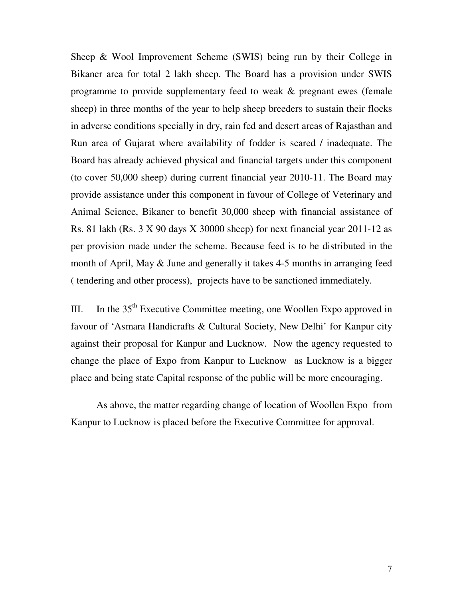Sheep & Wool Improvement Scheme (SWIS) being run by their College in Bikaner area for total 2 lakh sheep. The Board has a provision under SWIS programme to provide supplementary feed to weak & pregnant ewes (female sheep) in three months of the year to help sheep breeders to sustain their flocks in adverse conditions specially in dry, rain fed and desert areas of Rajasthan and Run area of Gujarat where availability of fodder is scared / inadequate. The Board has already achieved physical and financial targets under this component (to cover 50,000 sheep) during current financial year 2010-11. The Board may provide assistance under this component in favour of College of Veterinary and Animal Science, Bikaner to benefit 30,000 sheep with financial assistance of Rs. 81 lakh (Rs. 3 X 90 days X 30000 sheep) for next financial year 2011-12 as per provision made under the scheme. Because feed is to be distributed in the month of April, May & June and generally it takes 4-5 months in arranging feed ( tendering and other process), projects have to be sanctioned immediately.

III. In the  $35<sup>th</sup>$  Executive Committee meeting, one Woollen Expo approved in favour of 'Asmara Handicrafts & Cultural Society, New Delhi' for Kanpur city against their proposal for Kanpur and Lucknow. Now the agency requested to change the place of Expo from Kanpur to Lucknow as Lucknow is a bigger place and being state Capital response of the public will be more encouraging.

As above, the matter regarding change of location of Woollen Expo from Kanpur to Lucknow is placed before the Executive Committee for approval.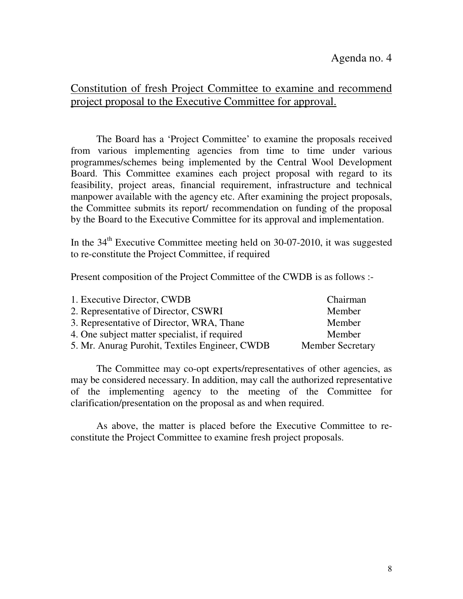## Constitution of fresh Project Committee to examine and recommend project proposal to the Executive Committee for approval.

 The Board has a 'Project Committee' to examine the proposals received from various implementing agencies from time to time under various programmes/schemes being implemented by the Central Wool Development Board. This Committee examines each project proposal with regard to its feasibility, project areas, financial requirement, infrastructure and technical manpower available with the agency etc. After examining the project proposals, the Committee submits its report/ recommendation on funding of the proposal by the Board to the Executive Committee for its approval and implementation.

In the  $34<sup>th</sup>$  Executive Committee meeting held on 30-07-2010, it was suggested to re-constitute the Project Committee, if required

Present composition of the Project Committee of the CWDB is as follows :-

| 1. Executive Director, CWDB                    | Chairman                |
|------------------------------------------------|-------------------------|
| 2. Representative of Director, CSWRI           | Member                  |
| 3. Representative of Director, WRA, Thane      | Member                  |
| 4. One subject matter specialist, if required  | Member                  |
| 5. Mr. Anurag Purohit, Textiles Engineer, CWDB | <b>Member Secretary</b> |

 The Committee may co-opt experts/representatives of other agencies, as may be considered necessary. In addition, may call the authorized representative of the implementing agency to the meeting of the Committee for clarification/presentation on the proposal as and when required.

 As above, the matter is placed before the Executive Committee to reconstitute the Project Committee to examine fresh project proposals.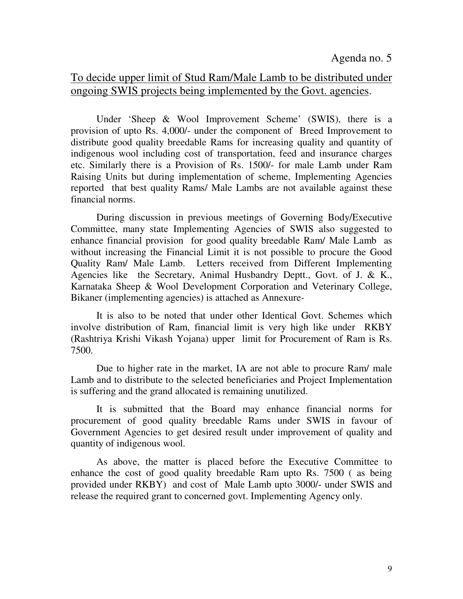## To decide upper limit of Stud Ram/Male Lamb to be distributed under ongoing SWIS projects being implemented by the Govt. agencies.

 Under 'Sheep & Wool Improvement Scheme' (SWIS), there is a provision of upto Rs. 4,000/- under the component of Breed Improvement to distribute good quality breedable Rams for increasing quality and quantity of indigenous wool including cost of transportation, feed and insurance charges etc. Similarly there is a Provision of Rs. 1500/- for male Lamb under Ram Raising Units but during implementation of scheme, Implementing Agencies reported that best quality Rams/ Male Lambs are not available against these financial norms.

 During discussion in previous meetings of Governing Body/Executive Committee, many state Implementing Agencies of SWIS also suggested to enhance financial provision for good quality breedable Ram/ Male Lamb as without increasing the Financial Limit it is not possible to procure the Good Quality Ram/ Male Lamb. Letters received from Different Implementing Agencies like the Secretary, Animal Husbandry Deptt., Govt. of J. & K., Karnataka Sheep & Wool Development Corporation and Veterinary College, Bikaner (implementing agencies) is attached as Annexure-

 It is also to be noted that under other Identical Govt. Schemes which involve distribution of Ram, financial limit is very high like under RKBY (Rashtriya Krishi Vikash Yojana) upper limit for Procurement of Ram is Rs. 7500.

Due to higher rate in the market, IA are not able to procure Ram/ male Lamb and to distribute to the selected beneficiaries and Project Implementation is suffering and the grand allocated is remaining unutilized.

 It is submitted that the Board may enhance financial norms for procurement of good quality breedable Rams under SWIS in favour of Government Agencies to get desired result under improvement of quality and quantity of indigenous wool.

 As above, the matter is placed before the Executive Committee to enhance the cost of good quality breedable Ram upto Rs. 7500 ( as being provided under RKBY) and cost of Male Lamb upto 3000/- under SWIS and release the required grant to concerned govt. Implementing Agency only.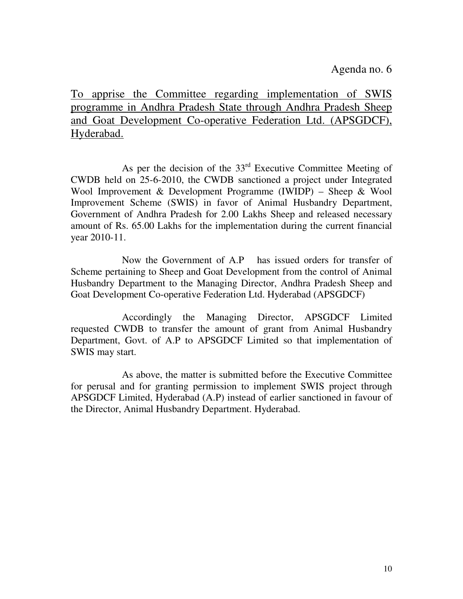Agenda no. 6

To apprise the Committee regarding implementation of SWIS programme in Andhra Pradesh State through Andhra Pradesh Sheep and Goat Development Co-operative Federation Ltd. (APSGDCF), Hyderabad.

As per the decision of the  $33<sup>rd</sup>$  Executive Committee Meeting of CWDB held on 25-6-2010, the CWDB sanctioned a project under Integrated Wool Improvement & Development Programme (IWIDP) – Sheep & Wool Improvement Scheme (SWIS) in favor of Animal Husbandry Department, Government of Andhra Pradesh for 2.00 Lakhs Sheep and released necessary amount of Rs. 65.00 Lakhs for the implementation during the current financial year 2010-11.

 Now the Government of A.P has issued orders for transfer of Scheme pertaining to Sheep and Goat Development from the control of Animal Husbandry Department to the Managing Director, Andhra Pradesh Sheep and Goat Development Co-operative Federation Ltd. Hyderabad (APSGDCF)

 Accordingly the Managing Director, APSGDCF Limited requested CWDB to transfer the amount of grant from Animal Husbandry Department, Govt. of A.P to APSGDCF Limited so that implementation of SWIS may start.

 As above, the matter is submitted before the Executive Committee for perusal and for granting permission to implement SWIS project through APSGDCF Limited, Hyderabad (A.P) instead of earlier sanctioned in favour of the Director, Animal Husbandry Department. Hyderabad.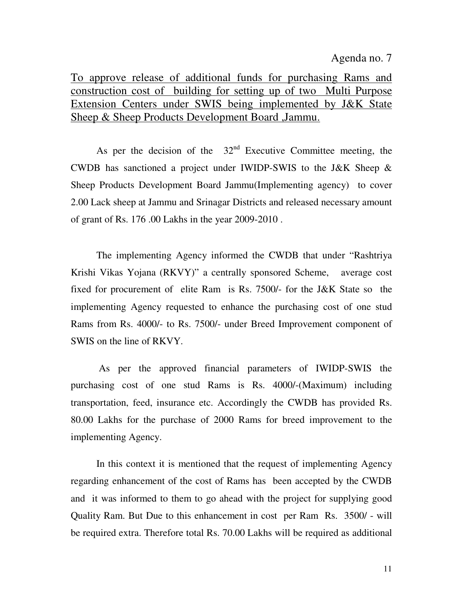### Agenda no. 7

To approve release of additional funds for purchasing Rams and construction cost of building for setting up of two Multi Purpose Extension Centers under SWIS being implemented by J&K State Sheep & Sheep Products Development Board ,Jammu.

As per the decision of the  $32<sup>nd</sup>$  Executive Committee meeting, the CWDB has sanctioned a project under IWIDP-SWIS to the J&K Sheep & Sheep Products Development Board Jammu(Implementing agency) to cover 2.00 Lack sheep at Jammu and Srinagar Districts and released necessary amount of grant of Rs. 176 .00 Lakhs in the year 2009-2010 .

 The implementing Agency informed the CWDB that under "Rashtriya Krishi Vikas Yojana (RKVY)" a centrally sponsored Scheme, average cost fixed for procurement of elite Ram is Rs. 7500/- for the J&K State so the implementing Agency requested to enhance the purchasing cost of one stud Rams from Rs. 4000/- to Rs. 7500/- under Breed Improvement component of SWIS on the line of RKVY.

 As per the approved financial parameters of IWIDP-SWIS the purchasing cost of one stud Rams is Rs. 4000/-(Maximum) including transportation, feed, insurance etc. Accordingly the CWDB has provided Rs. 80.00 Lakhs for the purchase of 2000 Rams for breed improvement to the implementing Agency.

In this context it is mentioned that the request of implementing Agency regarding enhancement of the cost of Rams has been accepted by the CWDB and it was informed to them to go ahead with the project for supplying good Quality Ram. But Due to this enhancement in cost per Ram Rs. 3500/ - will be required extra. Therefore total Rs. 70.00 Lakhs will be required as additional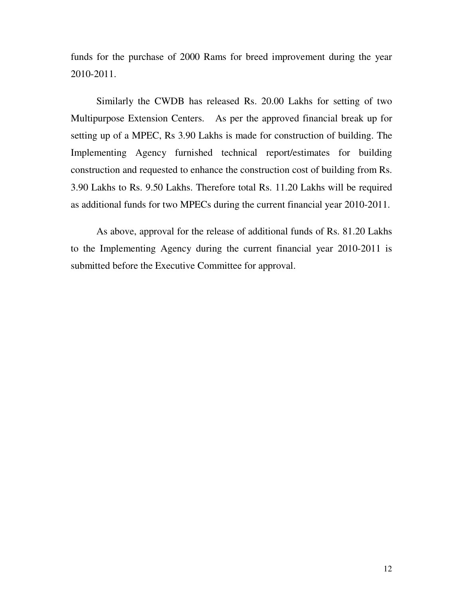funds for the purchase of 2000 Rams for breed improvement during the year 2010-2011.

Similarly the CWDB has released Rs. 20.00 Lakhs for setting of two Multipurpose Extension Centers. As per the approved financial break up for setting up of a MPEC, Rs 3.90 Lakhs is made for construction of building. The Implementing Agency furnished technical report/estimates for building construction and requested to enhance the construction cost of building from Rs. 3.90 Lakhs to Rs. 9.50 Lakhs. Therefore total Rs. 11.20 Lakhs will be required as additional funds for two MPECs during the current financial year 2010-2011.

As above, approval for the release of additional funds of Rs. 81.20 Lakhs to the Implementing Agency during the current financial year 2010-2011 is submitted before the Executive Committee for approval.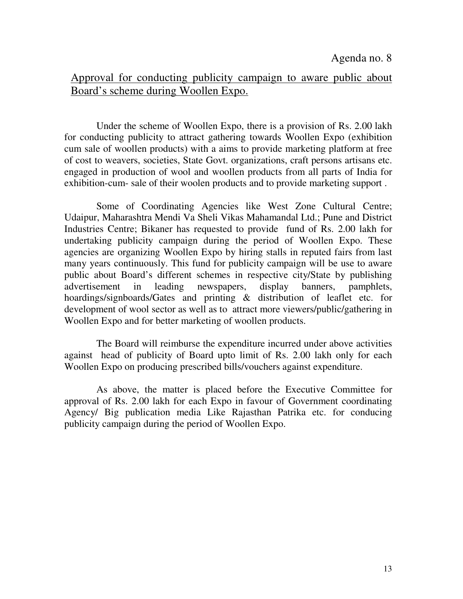## Approval for conducting publicity campaign to aware public about Board's scheme during Woollen Expo.

 Under the scheme of Woollen Expo, there is a provision of Rs. 2.00 lakh for conducting publicity to attract gathering towards Woollen Expo (exhibition cum sale of woollen products) with a aims to provide marketing platform at free of cost to weavers, societies, State Govt. organizations, craft persons artisans etc. engaged in production of wool and woollen products from all parts of India for exhibition-cum- sale of their woolen products and to provide marketing support .

 Some of Coordinating Agencies like West Zone Cultural Centre; Udaipur, Maharashtra Mendi Va Sheli Vikas Mahamandal Ltd.; Pune and District Industries Centre; Bikaner has requested to provide fund of Rs. 2.00 lakh for undertaking publicity campaign during the period of Woollen Expo. These agencies are organizing Woollen Expo by hiring stalls in reputed fairs from last many years continuously. This fund for publicity campaign will be use to aware public about Board's different schemes in respective city/State by publishing advertisement in leading newspapers, display banners, pamphlets, hoardings/signboards/Gates and printing & distribution of leaflet etc. for development of wool sector as well as to attract more viewers/public/gathering in Woollen Expo and for better marketing of woollen products.

 The Board will reimburse the expenditure incurred under above activities against head of publicity of Board upto limit of Rs. 2.00 lakh only for each Woollen Expo on producing prescribed bills/vouchers against expenditure.

 As above, the matter is placed before the Executive Committee for approval of Rs. 2.00 lakh for each Expo in favour of Government coordinating Agency/ Big publication media Like Rajasthan Patrika etc. for conducing publicity campaign during the period of Woollen Expo.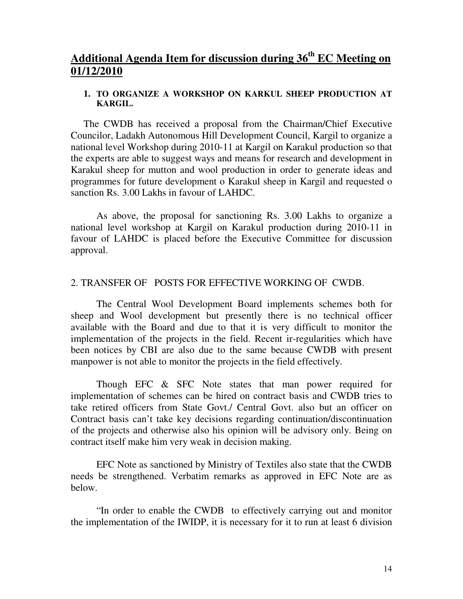## **Additional Agenda Item for discussion during 36th EC Meeting on 01/12/2010**

### **1. TO ORGANIZE A WORKSHOP ON KARKUL SHEEP PRODUCTION AT KARGIL.**

The CWDB has received a proposal from the Chairman/Chief Executive Councilor, Ladakh Autonomous Hill Development Council, Kargil to organize a national level Workshop during 2010-11 at Kargil on Karakul production so that the experts are able to suggest ways and means for research and development in Karakul sheep for mutton and wool production in order to generate ideas and programmes for future development o Karakul sheep in Kargil and requested o sanction Rs. 3.00 Lakhs in favour of LAHDC.

 As above, the proposal for sanctioning Rs. 3.00 Lakhs to organize a national level workshop at Kargil on Karakul production during 2010-11 in favour of LAHDC is placed before the Executive Committee for discussion approval.

### 2. TRANSFER OF POSTS FOR EFFECTIVE WORKING OF CWDB.

The Central Wool Development Board implements schemes both for sheep and Wool development but presently there is no technical officer available with the Board and due to that it is very difficult to monitor the implementation of the projects in the field. Recent ir-regularities which have been notices by CBI are also due to the same because CWDB with present manpower is not able to monitor the projects in the field effectively.

Though EFC & SFC Note states that man power required for implementation of schemes can be hired on contract basis and CWDB tries to take retired officers from State Govt./ Central Govt. also but an officer on Contract basis can't take key decisions regarding continuation/discontinuation of the projects and otherwise also his opinion will be advisory only. Being on contract itself make him very weak in decision making.

EFC Note as sanctioned by Ministry of Textiles also state that the CWDB needs be strengthened. Verbatim remarks as approved in EFC Note are as below.

"In order to enable the CWDB to effectively carrying out and monitor the implementation of the IWIDP, it is necessary for it to run at least 6 division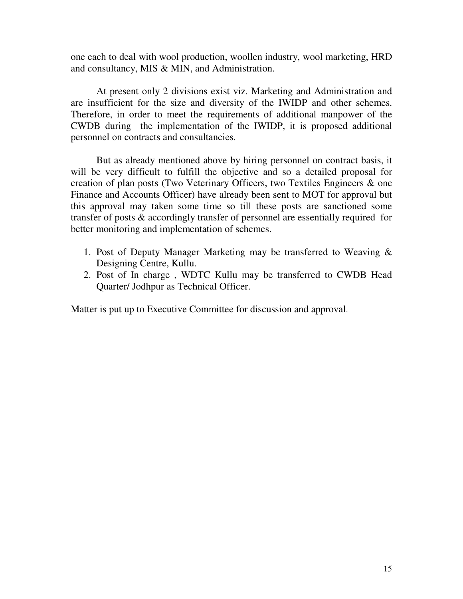one each to deal with wool production, woollen industry, wool marketing, HRD and consultancy, MIS & MIN, and Administration.

At present only 2 divisions exist viz. Marketing and Administration and are insufficient for the size and diversity of the IWIDP and other schemes. Therefore, in order to meet the requirements of additional manpower of the CWDB during the implementation of the IWIDP, it is proposed additional personnel on contracts and consultancies.

But as already mentioned above by hiring personnel on contract basis, it will be very difficult to fulfill the objective and so a detailed proposal for creation of plan posts (Two Veterinary Officers, two Textiles Engineers & one Finance and Accounts Officer) have already been sent to MOT for approval but this approval may taken some time so till these posts are sanctioned some transfer of posts & accordingly transfer of personnel are essentially required for better monitoring and implementation of schemes.

- 1. Post of Deputy Manager Marketing may be transferred to Weaving & Designing Centre, Kullu.
- 2. Post of In charge , WDTC Kullu may be transferred to CWDB Head Quarter/ Jodhpur as Technical Officer.

Matter is put up to Executive Committee for discussion and approval.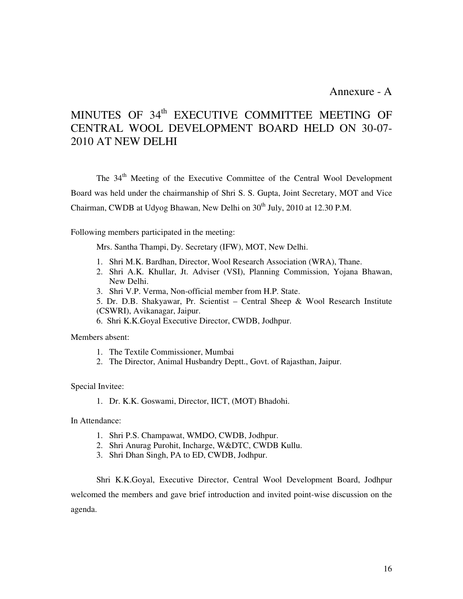Annexure - A

# MINUTES OF 34<sup>th</sup> EXECUTIVE COMMITTEE MEETING OF CENTRAL WOOL DEVELOPMENT BOARD HELD ON 30-07- 2010 AT NEW DELHI

The 34<sup>th</sup> Meeting of the Executive Committee of the Central Wool Development Board was held under the chairmanship of Shri S. S. Gupta, Joint Secretary, MOT and Vice Chairman, CWDB at Udyog Bhawan, New Delhi on  $30<sup>th</sup>$  July, 2010 at 12.30 P.M.

Following members participated in the meeting:

Mrs. Santha Thampi, Dy. Secretary (IFW), MOT, New Delhi.

- 1. Shri M.K. Bardhan, Director, Wool Research Association (WRA), Thane.
- 2. Shri A.K. Khullar, Jt. Adviser (VSI), Planning Commission, Yojana Bhawan, New Delhi.
- 3. Shri V.P. Verma, Non-official member from H.P. State.
- 5. Dr. D.B. Shakyawar, Pr. Scientist Central Sheep & Wool Research Institute (CSWRI), Avikanagar, Jaipur.
- 6. Shri K.K.Goyal Executive Director, CWDB, Jodhpur.

Members absent:

- 1. The Textile Commissioner, Mumbai
- 2. The Director, Animal Husbandry Deptt., Govt. of Rajasthan, Jaipur.

Special Invitee:

1. Dr. K.K. Goswami, Director, IICT, (MOT) Bhadohi.

In Attendance:

- 1. Shri P.S. Champawat, WMDO, CWDB, Jodhpur.
- 2. Shri Anurag Purohit, Incharge, W&DTC, CWDB Kullu.
- 3. Shri Dhan Singh, PA to ED, CWDB, Jodhpur.

Shri K.K.Goyal, Executive Director, Central Wool Development Board, Jodhpur welcomed the members and gave brief introduction and invited point-wise discussion on the agenda.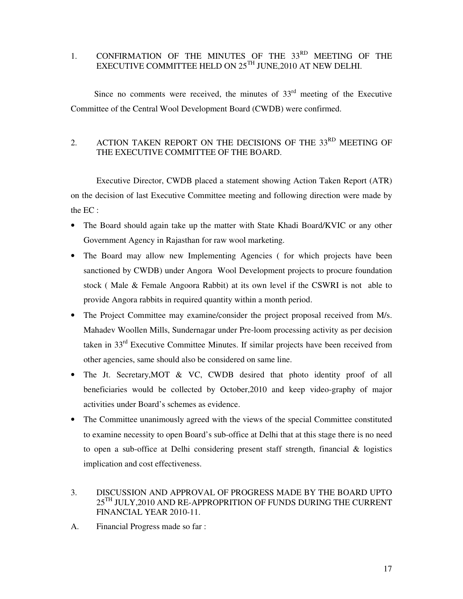### 1. CONFIRMATION OF THE MINUTES OF THE 33<sup>RD</sup> MEETING OF THE EXECUTIVE COMMITTEE HELD ON  $25^{\text{TH}}$  JUNE,2010 AT NEW DELHI.

Since no comments were received, the minutes of  $33<sup>rd</sup>$  meeting of the Executive Committee of the Central Wool Development Board (CWDB) were confirmed.

## 2. ACTION TAKEN REPORT ON THE DECISIONS OF THE 33<sup>RD</sup> MEETING OF THE EXECUTIVE COMMITTEE OF THE BOARD.

 Executive Director, CWDB placed a statement showing Action Taken Report (ATR) on the decision of last Executive Committee meeting and following direction were made by the EC :

- The Board should again take up the matter with State Khadi Board/KVIC or any other Government Agency in Rajasthan for raw wool marketing.
- The Board may allow new Implementing Agencies (for which projects have been sanctioned by CWDB) under Angora Wool Development projects to procure foundation stock ( Male & Female Angoora Rabbit) at its own level if the CSWRI is not able to provide Angora rabbits in required quantity within a month period.
- The Project Committee may examine/consider the project proposal received from M/s. Mahadev Woollen Mills, Sundernagar under Pre-loom processing activity as per decision taken in 33rd Executive Committee Minutes. If similar projects have been received from other agencies, same should also be considered on same line.
- The Jt. Secretary, MOT & VC, CWDB desired that photo identity proof of all beneficiaries would be collected by October,2010 and keep video-graphy of major activities under Board's schemes as evidence.
- The Committee unanimously agreed with the views of the special Committee constituted to examine necessity to open Board's sub-office at Delhi that at this stage there is no need to open a sub-office at Delhi considering present staff strength, financial & logistics implication and cost effectiveness.
- 3. DISCUSSION AND APPROVAL OF PROGRESS MADE BY THE BOARD UPTO  $25^{\text{TH}}$  JULY, 2010 AND RE-APPROPRITION OF FUNDS DURING THE CURRENT FINANCIAL YEAR 2010-11.
- A. Financial Progress made so far :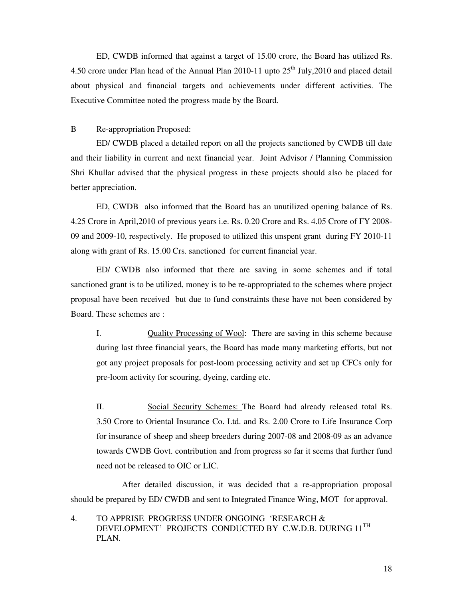ED, CWDB informed that against a target of 15.00 crore, the Board has utilized Rs. 4.50 crore under Plan head of the Annual Plan 2010-11 upto  $25<sup>th</sup>$  July, 2010 and placed detail about physical and financial targets and achievements under different activities. The Executive Committee noted the progress made by the Board.

### B Re-appropriation Proposed:

ED/ CWDB placed a detailed report on all the projects sanctioned by CWDB till date and their liability in current and next financial year. Joint Advisor / Planning Commission Shri Khullar advised that the physical progress in these projects should also be placed for better appreciation.

ED, CWDB also informed that the Board has an unutilized opening balance of Rs. 4.25 Crore in April,2010 of previous years i.e. Rs. 0.20 Crore and Rs. 4.05 Crore of FY 2008- 09 and 2009-10, respectively. He proposed to utilized this unspent grant during FY 2010-11 along with grant of Rs. 15.00 Crs. sanctioned for current financial year.

ED/ CWDB also informed that there are saving in some schemes and if total sanctioned grant is to be utilized, money is to be re-appropriated to the schemes where project proposal have been received but due to fund constraints these have not been considered by Board. These schemes are :

I. Quality Processing of Wool: There are saving in this scheme because during last three financial years, the Board has made many marketing efforts, but not got any project proposals for post-loom processing activity and set up CFCs only for pre-loom activity for scouring, dyeing, carding etc.

II. Social Security Schemes: The Board had already released total Rs. 3.50 Crore to Oriental Insurance Co. Ltd. and Rs. 2.00 Crore to Life Insurance Corp for insurance of sheep and sheep breeders during 2007-08 and 2008-09 as an advance towards CWDB Govt. contribution and from progress so far it seems that further fund need not be released to OIC or LIC.

 After detailed discussion, it was decided that a re-appropriation proposal should be prepared by ED/ CWDB and sent to Integrated Finance Wing, MOT for approval.

4. TO APPRISE PROGRESS UNDER ONGOING 'RESEARCH & DEVELOPMENT' PROJECTS CONDUCTED BY C.W.D.B. DURING 11<sup>TH</sup> PLAN.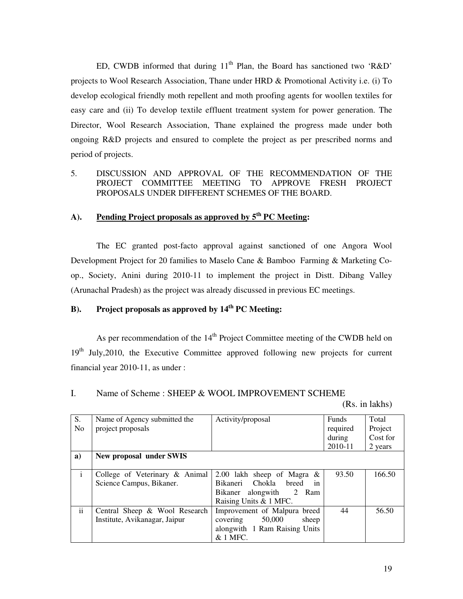ED, CWDB informed that during  $11<sup>th</sup>$  Plan, the Board has sanctioned two 'R&D' projects to Wool Research Association, Thane under HRD & Promotional Activity i.e. (i) To develop ecological friendly moth repellent and moth proofing agents for woollen textiles for easy care and (ii) To develop textile effluent treatment system for power generation. The Director, Wool Research Association, Thane explained the progress made under both ongoing R&D projects and ensured to complete the project as per prescribed norms and period of projects.

### 5. DISCUSSION AND APPROVAL OF THE RECOMMENDATION OF THE PROJECT COMMITTEE MEETING TO APPROVE FRESH PROJECT PROPOSALS UNDER DIFFERENT SCHEMES OF THE BOARD.

### **A). Pending Project proposals as approved by 5th PC Meeting:**

 The EC granted post-facto approval against sanctioned of one Angora Wool Development Project for 20 families to Maselo Cane & Bamboo Farming & Marketing Coop., Society, Anini during 2010-11 to implement the project in Distt. Dibang Valley (Arunachal Pradesh) as the project was already discussed in previous EC meetings.

## **B). Project proposals as approved by 14th PC Meeting:**

As per recommendation of the 14<sup>th</sup> Project Committee meeting of the CWDB held on 19<sup>th</sup> July, 2010, the Executive Committee approved following new projects for current financial year 2010-11, as under :

#### I. Name of Scheme : SHEEP & WOOL IMPROVEMENT SCHEME

(Rs. in lakhs)

| S.<br>N <sub>o</sub> | Name of Agency submitted the<br>project proposals              | Activity/proposal                                                                                                 | Funds<br>required<br>during<br>2010-11 | Total<br>Project<br>Cost for<br>2 years |
|----------------------|----------------------------------------------------------------|-------------------------------------------------------------------------------------------------------------------|----------------------------------------|-----------------------------------------|
| a)                   | New proposal under SWIS                                        |                                                                                                                   |                                        |                                         |
| $\mathbf{i}$         | College of Veterinary & Animal<br>Science Campus, Bikaner.     | 2.00 lakh sheep of Magra $\&$<br>Bikaneri Chokla breed<br>in<br>Bikaner alongwith 2 Ram<br>Raising Units & 1 MFC. | 93.50                                  | 166.50                                  |
| ii.                  | Central Sheep & Wool Research<br>Institute, Avikanagar, Jaipur | Improvement of Malpura breed<br>50,000<br>sheep<br>covering<br>alongwith 1 Ram Raising Units<br>& 1 MFC.          | 44                                     | 56.50                                   |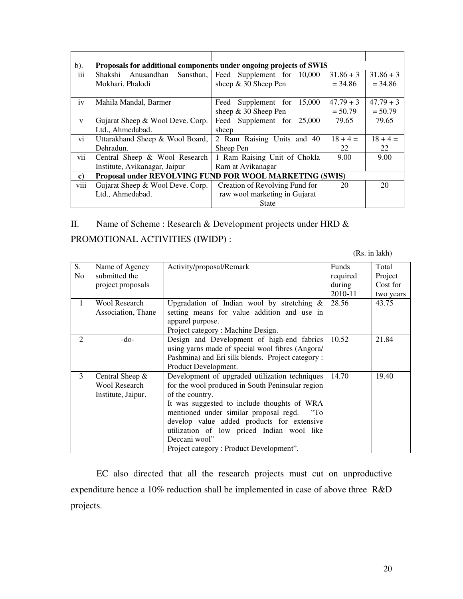| $b)$ .                  | Proposals for additional components under ongoing projects of SWIS |                                  |             |             |  |  |  |
|-------------------------|--------------------------------------------------------------------|----------------------------------|-------------|-------------|--|--|--|
| iii                     | Shakshi Anusandhan<br>Sansthan,                                    | Feed Supplement for 10,000       | $31.86 + 3$ | $31.86 + 3$ |  |  |  |
|                         | Mokhari, Phalodi                                                   | sheep $& 30$ Sheep Pen           | $= 34.86$   | $= 34.86$   |  |  |  |
|                         |                                                                    |                                  |             |             |  |  |  |
| iv                      | Mahila Mandal, Barmer                                              | Supplement for<br>15,000<br>Feed | $47.79 + 3$ | $47.79 + 3$ |  |  |  |
|                         |                                                                    | sheep & 30 Sheep Pen             | $= 50.79$   | $= 50.79$   |  |  |  |
| $\mathbf{V}$            | Gujarat Sheep & Wool Deve. Corp.                                   | Feed Supplement for 25,000       | 79.65       | 79.65       |  |  |  |
|                         | Ltd., Ahmedabad.                                                   | sheep                            |             |             |  |  |  |
| vi                      | Uttarakhand Sheep & Wool Board,                                    | 2 Ram Raising Units and 40       | $18 + 4 =$  | $18 + 4 =$  |  |  |  |
|                         | Dehradun.                                                          | Sheep Pen                        | 22          | 22          |  |  |  |
| vii                     | Central Sheep & Wool Research                                      | 1 Ram Raising Unit of Chokla     | 9.00        | 9.00        |  |  |  |
|                         | Institute, Avikanagar, Jaipur                                      | Ram at Avikanagar                |             |             |  |  |  |
| $\mathbf{c})$           | Proposal under REVOLVING FUND FOR WOOL MARKETING (SWIS)            |                                  |             |             |  |  |  |
| $\cdots$<br><b>V111</b> | Gujarat Sheep & Wool Deve. Corp.                                   | Creation of Revolving Fund for   | 20          | 20          |  |  |  |
|                         | Ltd., Ahmedabad.                                                   | raw wool marketing in Gujarat    |             |             |  |  |  |
|                         |                                                                    | State                            |             |             |  |  |  |

II. Name of Scheme : Research & Development projects under HRD &

PROMOTIONAL ACTIVITIES (IWIDP) :

(Rs. in lakh)

| S.<br>No.      | Name of Agency<br>submitted the<br>project proposals            | Activity/proposal/Remark                                                                                                                                                                                                                                                                                                                                                              | Funds<br>required<br>during<br>2010-11 | Total<br>Project<br>Cost for<br>two years |
|----------------|-----------------------------------------------------------------|---------------------------------------------------------------------------------------------------------------------------------------------------------------------------------------------------------------------------------------------------------------------------------------------------------------------------------------------------------------------------------------|----------------------------------------|-------------------------------------------|
| 1              | <b>Wool Research</b><br>Association, Thane                      | Upgradation of Indian wool by stretching $\&$<br>setting means for value addition and use in<br>apparel purpose.<br>Project category: Machine Design.                                                                                                                                                                                                                                 | 28.56                                  | 43.75                                     |
| $\mathfrak{D}$ | $-do-$                                                          | Design and Development of high-end fabrics<br>using yarns made of special wool fibres (Angora/<br>Pashmina) and Eri silk blends. Project category:<br>Product Development.                                                                                                                                                                                                            | 10.52                                  | 21.84                                     |
| 3              | Central Sheep $&$<br><b>Wool Research</b><br>Institute, Jaipur. | Development of upgraded utilization techniques<br>for the wool produced in South Peninsular region<br>of the country.<br>It was suggested to include thoughts of WRA<br>mentioned under similar proposal regd.<br>$\rm ^{44}$<br>develop value added products for extensive<br>utilization of low priced Indian wool like<br>Deccani wool"<br>Project category: Product Development". | 14.70                                  | 19.40                                     |

 EC also directed that all the research projects must cut on unproductive expenditure hence a 10% reduction shall be implemented in case of above three R&D projects.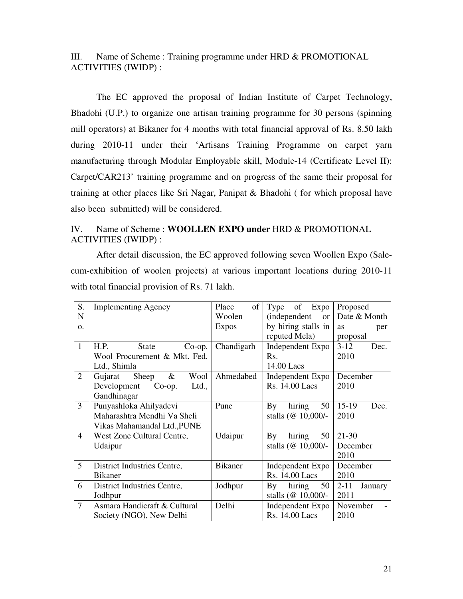### III. Name of Scheme : Training programme under HRD & PROMOTIONAL ACTIVITIES (IWIDP) :

 The EC approved the proposal of Indian Institute of Carpet Technology, Bhadohi (U.P.) to organize one artisan training programme for 30 persons (spinning mill operators) at Bikaner for 4 months with total financial approval of Rs. 8.50 lakh during 2010-11 under their 'Artisans Training Programme on carpet yarn manufacturing through Modular Employable skill, Module-14 (Certificate Level II): Carpet/CAR213' training programme and on progress of the same their proposal for training at other places like Sri Nagar, Panipat & Bhadohi ( for which proposal have also been submitted) will be considered.

## IV. Name of Scheme : **WOOLLEN EXPO under** HRD & PROMOTIONAL ACTIVITIES (IWIDP) :

 After detail discussion, the EC approved following seven Woollen Expo (Salecum-exhibition of woolen projects) at various important locations during 2010-11 with total financial provision of Rs. 71 lakh.

| S.             | <b>Implementing Agency</b>        | Place<br>of    | of<br>Type<br>Expo                | Proposed            |
|----------------|-----------------------------------|----------------|-----------------------------------|---------------------|
| N              |                                   | Woolen         | <i>(independent)</i><br><b>or</b> | Date & Month        |
| $\Omega$ .     |                                   | <b>Expos</b>   | by hiring stalls in               | <b>as</b><br>per    |
|                |                                   |                | reputed Mela)                     | proposal            |
| $\mathbf{1}$   | H.P.<br>State<br>$Co$ -op.        | Chandigarh     | Independent Expo                  | $3-12$<br>Dec.      |
|                | Wool Procurement & Mkt. Fed.      |                | Rs.                               | 2010                |
|                | Ltd., Shimla                      |                | 14.00 Lacs                        |                     |
| 2              | Sheep<br>$\&$<br>Wool<br>Gujarat  | Ahmedabed      | Independent Expo                  | December            |
|                | Development<br>$Co$ -op.<br>Ltd., |                | Rs. 14.00 Lacs                    | 2010                |
|                | Gandhinagar                       |                |                                   |                     |
| 3              | Punyashloka Ahilyadevi            | Pune           | hiring<br>By<br>50                | $15-19$<br>Dec.     |
|                | Maharashtra Mendhi Va Sheli       |                | stalls ( $@10,000/-$              | 2010                |
|                | Vikas Mahamandal Ltd., PUNE       |                |                                   |                     |
| $\overline{4}$ | West Zone Cultural Centre,        | Udaipur        | hiring<br>By<br>50                | $21 - 30$           |
|                | Udaipur                           |                | stalls ( $@10,000/-$              | December            |
|                |                                   |                |                                   | 2010                |
| 5              | District Industries Centre,       | <b>Bikaner</b> | Independent Expo                  | December            |
|                | <b>Bikaner</b>                    |                | Rs. 14.00 Lacs                    | 2010                |
| 6              | District Industries Centre,       | Jodhpur        | hiring<br>By<br>50                | $2 - 11$<br>January |
|                | Jodhpur                           |                | stalls ( $@10,000/-$              | 2011                |
| $\overline{7}$ | Asmara Handicraft & Cultural      | Delhi          | Independent Expo                  | November            |
|                | Society (NGO), New Delhi          |                | Rs. 14.00 Lacs                    | 2010                |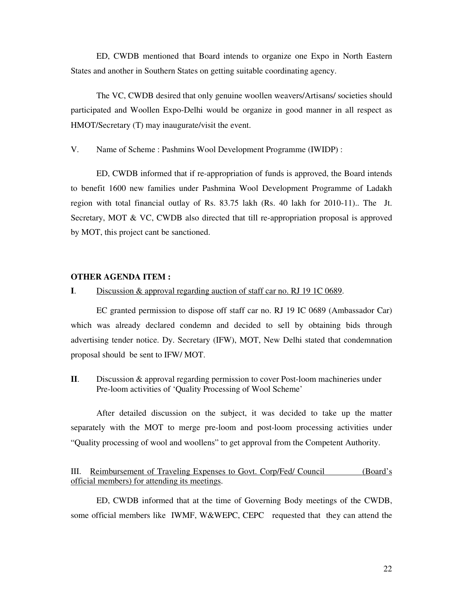ED, CWDB mentioned that Board intends to organize one Expo in North Eastern States and another in Southern States on getting suitable coordinating agency.

 The VC, CWDB desired that only genuine woollen weavers/Artisans/ societies should participated and Woollen Expo-Delhi would be organize in good manner in all respect as HMOT/Secretary (T) may inaugurate/visit the event.

V. Name of Scheme : Pashmins Wool Development Programme (IWIDP) :

 ED, CWDB informed that if re-appropriation of funds is approved, the Board intends to benefit 1600 new families under Pashmina Wool Development Programme of Ladakh region with total financial outlay of Rs. 83.75 lakh (Rs. 40 lakh for 2010-11).. The Jt. Secretary, MOT & VC, CWDB also directed that till re-appropriation proposal is approved by MOT, this project cant be sanctioned.

#### **OTHER AGENDA ITEM :**

#### **I**. Discussion & approval regarding auction of staff car no. RJ 19 1C 0689.

EC granted permission to dispose off staff car no. RJ 19 IC 0689 (Ambassador Car) which was already declared condemn and decided to sell by obtaining bids through advertising tender notice. Dy. Secretary (IFW), MOT, New Delhi stated that condemnation proposal should be sent to IFW/ MOT.

**II**. Discussion & approval regarding permission to cover Post-loom machineries under Pre-loom activities of 'Quality Processing of Wool Scheme'

After detailed discussion on the subject, it was decided to take up the matter separately with the MOT to merge pre-loom and post-loom processing activities under "Quality processing of wool and woollens" to get approval from the Competent Authority.

#### III. Reimbursement of Traveling Expenses to Govt. Corp/Fed/ Council (Board's official members) for attending its meetings.

 ED, CWDB informed that at the time of Governing Body meetings of the CWDB, some official members like IWMF, W&WEPC, CEPC requested that they can attend the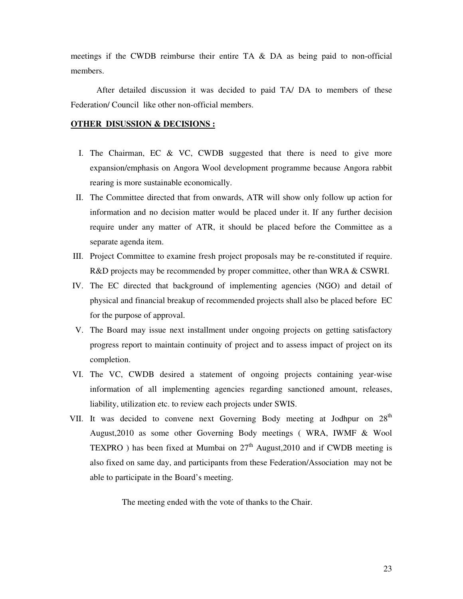meetings if the CWDB reimburse their entire TA & DA as being paid to non-official members.

 After detailed discussion it was decided to paid TA/ DA to members of these Federation/ Council like other non-official members.

#### **OTHER DISUSSION & DECISIONS :**

- I. The Chairman, EC & VC, CWDB suggested that there is need to give more expansion/emphasis on Angora Wool development programme because Angora rabbit rearing is more sustainable economically.
- II. The Committee directed that from onwards, ATR will show only follow up action for information and no decision matter would be placed under it. If any further decision require under any matter of ATR, it should be placed before the Committee as a separate agenda item.
- III. Project Committee to examine fresh project proposals may be re-constituted if require. R&D projects may be recommended by proper committee, other than WRA & CSWRI.
- IV. The EC directed that background of implementing agencies (NGO) and detail of physical and financial breakup of recommended projects shall also be placed before EC for the purpose of approval.
- V. The Board may issue next installment under ongoing projects on getting satisfactory progress report to maintain continuity of project and to assess impact of project on its completion.
- VI. The VC, CWDB desired a statement of ongoing projects containing year-wise information of all implementing agencies regarding sanctioned amount, releases, liability, utilization etc. to review each projects under SWIS.
- VII. It was decided to convene next Governing Body meeting at Jodhpur on 28<sup>th</sup> August,2010 as some other Governing Body meetings ( WRA, IWMF & Wool TEXPRO ) has been fixed at Mumbai on  $27<sup>th</sup>$  August,2010 and if CWDB meeting is also fixed on same day, and participants from these Federation/Association may not be able to participate in the Board's meeting.

The meeting ended with the vote of thanks to the Chair.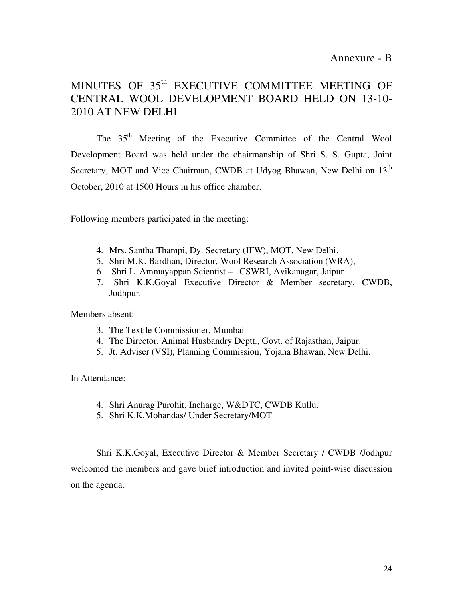# MINUTES OF 35<sup>th</sup> EXECUTIVE COMMITTEE MEETING OF CENTRAL WOOL DEVELOPMENT BOARD HELD ON 13-10- 2010 AT NEW DELHI

The 35<sup>th</sup> Meeting of the Executive Committee of the Central Wool Development Board was held under the chairmanship of Shri S. S. Gupta, Joint Secretary, MOT and Vice Chairman, CWDB at Udyog Bhawan, New Delhi on 13<sup>th</sup> October, 2010 at 1500 Hours in his office chamber.

Following members participated in the meeting:

- 4. Mrs. Santha Thampi, Dy. Secretary (IFW), MOT, New Delhi.
- 5. Shri M.K. Bardhan, Director, Wool Research Association (WRA),
- 6. Shri L. Ammayappan Scientist CSWRI, Avikanagar, Jaipur.
- 7. Shri K.K.Goyal Executive Director & Member secretary, CWDB, Jodhpur.

Members absent:

- 3. The Textile Commissioner, Mumbai
- 4. The Director, Animal Husbandry Deptt., Govt. of Rajasthan, Jaipur.
- 5. Jt. Adviser (VSI), Planning Commission, Yojana Bhawan, New Delhi.

In Attendance:

- 4. Shri Anurag Purohit, Incharge, W&DTC, CWDB Kullu.
- 5. Shri K.K.Mohandas/ Under Secretary/MOT

Shri K.K.Goyal, Executive Director & Member Secretary / CWDB /Jodhpur welcomed the members and gave brief introduction and invited point-wise discussion on the agenda.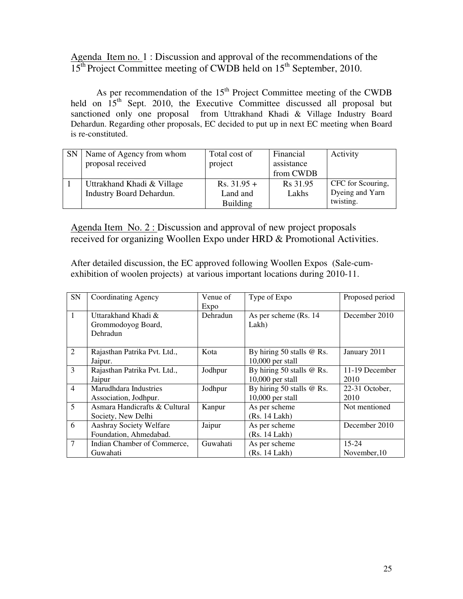Agenda Item no. 1 : Discussion and approval of the recommendations of the  $15<sup>th</sup>$  Project Committee meeting of CWDB held on  $15<sup>th</sup>$  September, 2010.

As per recommendation of the  $15<sup>th</sup>$  Project Committee meeting of the CWDB held on  $15<sup>th</sup>$  Sept. 2010, the Executive Committee discussed all proposal but sanctioned only one proposal from Uttrakhand Khadi & Village Industry Board Dehardun. Regarding other proposals, EC decided to put up in next EC meeting when Board is re-constituted.

| <b>SN</b> | Name of Agency from whom<br>proposal received | Total cost of<br>project | Financial<br>assistance | Activity          |
|-----------|-----------------------------------------------|--------------------------|-------------------------|-------------------|
|           |                                               |                          | from CWDB               |                   |
|           | Uttrakhand Khadi & Village                    | $Rs. 31.95 +$            | R <sub>s</sub> 31.95    | CFC for Scouring, |
|           | <b>Industry Board Dehardun.</b>               | Land and                 | Lakhs                   | Dyeing and Yarn   |
|           |                                               | <b>Building</b>          |                         | twisting.         |

Agenda Item No. 2 : Discussion and approval of new project proposals received for organizing Woollen Expo under HRD & Promotional Activities.

After detailed discussion, the EC approved following Woollen Expos (Sale-cumexhibition of woolen projects) at various important locations during 2010-11.

| SN             | Coordinating Agency           | Venue of | Type of Expo              | Proposed period |
|----------------|-------------------------------|----------|---------------------------|-----------------|
|                |                               | Expo     |                           |                 |
| $\mathbf{1}$   | Uttarakhand Khadi &           | Dehradun | As per scheme (Rs. 14)    | December 2010   |
|                | Grommodoyog Board,            |          | Lakh)                     |                 |
|                | Dehradun                      |          |                           |                 |
|                |                               |          |                           |                 |
| $\overline{2}$ | Rajasthan Patrika Pvt. Ltd.,  | Kota     | By hiring 50 stalls @ Rs. | January 2011    |
|                | Jaipur.                       |          | $10,000$ per stall        |                 |
| 3              | Rajasthan Patrika Pvt. Ltd.,  | Jodhpur  | By hiring 50 stalls @ Rs. | 11-19 December  |
|                | Jaipur                        |          | $10,000$ per stall        | 2010            |
| $\overline{4}$ | Marudhdara Industries         | Jodhpur  | By hiring 50 stalls @ Rs. | 22-31 October,  |
|                | Association, Jodhpur.         |          | $10,000$ per stall        | 2010            |
| 5              | Asmara Handicrafts & Cultural | Kanpur   | As per scheme             | Not mentioned   |
|                | Society, New Delhi            |          | (Rs. 14 Lakh)             |                 |
| 6              | Aashray Society Welfare       | Jaipur   | As per scheme             | December 2010   |
|                | Foundation, Ahmedabad.        |          | (Rs. 14 Lakh)             |                 |
| $\overline{7}$ | Indian Chamber of Commerce,   | Guwahati | As per scheme             | $15 - 24$       |
|                | Guwahati                      |          | (Rs. 14 Lakh)             | November, 10    |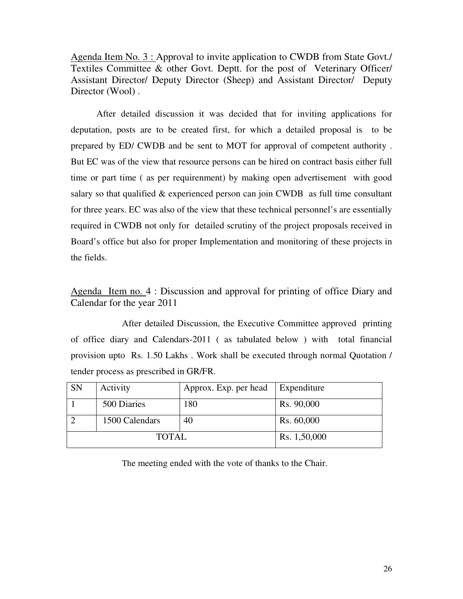Agenda Item No. 3 : Approval to invite application to CWDB from State Govt./ Textiles Committee & other Govt. Deptt. for the post of Veterinary Officer/ Assistant Director/ Deputy Director (Sheep) and Assistant Director/ Deputy Director (Wool).

After detailed discussion it was decided that for inviting applications for deputation, posts are to be created first, for which a detailed proposal is to be prepared by ED/ CWDB and be sent to MOT for approval of competent authority . But EC was of the view that resource persons can be hired on contract basis either full time or part time ( as per requirenment) by making open advertisement with good salary so that qualified & experienced person can join CWDB as full time consultant for three years. EC was also of the view that these technical personnel's are essentially required in CWDB not only for detailed scrutiny of the project proposals received in Board's office but also for proper Implementation and monitoring of these projects in the fields.

Agenda Item no. 4 : Discussion and approval for printing of office Diary and Calendar for the year 2011

 After detailed Discussion, the Executive Committee approved printing of office diary and Calendars-2011 ( as tabulated below ) with total financial provision upto Rs. 1.50 Lakhs . Work shall be executed through normal Quotation / tender process as prescribed in GR/FR.

| <b>SN</b> | Activity       | Approx. Exp. per head | Expenditure  |
|-----------|----------------|-----------------------|--------------|
|           | 500 Diaries    | 180                   | Rs. 90,000   |
|           | 1500 Calendars | 40                    | Rs. 60,000   |
|           | TOTAL          |                       | Rs. 1,50,000 |

The meeting ended with the vote of thanks to the Chair.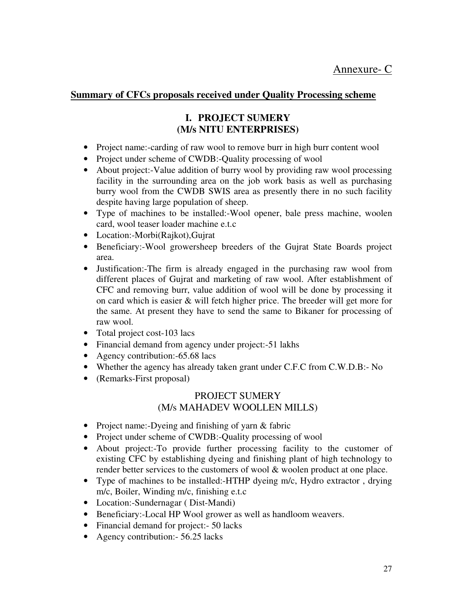## **Summary of CFCs proposals received under Quality Processing scheme**

## **I. PROJECT SUMERY (M/s NITU ENTERPRISES)**

- Project name:-carding of raw wool to remove burr in high burr content wool
- Project under scheme of CWDB:-Quality processing of wool
- About project:-Value addition of burry wool by providing raw wool processing facility in the surrounding area on the job work basis as well as purchasing burry wool from the CWDB SWIS area as presently there in no such facility despite having large population of sheep.
- Type of machines to be installed:-Wool opener, bale press machine, woolen card, wool teaser loader machine e.t.c
- Location:-Morbi(Rajkot),Gujrat
- Beneficiary:-Wool growersheep breeders of the Gujrat State Boards project area.
- Justification:-The firm is already engaged in the purchasing raw wool from different places of Gujrat and marketing of raw wool. After establishment of CFC and removing burr, value addition of wool will be done by processing it on card which is easier & will fetch higher price. The breeder will get more for the same. At present they have to send the same to Bikaner for processing of raw wool.
- Total project cost-103 lacs
- Financial demand from agency under project:-51 lakhs
- Agency contribution: -65.68 lacs
- Whether the agency has already taken grant under C.F.C from C.W.D.B:- No
- (Remarks-First proposal)

## PROJECT SUMERY (M/s MAHADEV WOOLLEN MILLS)

- Project name:-Dyeing and finishing of yarn & fabric
- Project under scheme of CWDB:-Quality processing of wool
- About project:-To provide further processing facility to the customer of existing CFC by establishing dyeing and finishing plant of high technology to render better services to the customers of wool & woolen product at one place.
- Type of machines to be installed:-HTHP dyeing m/c, Hydro extractor, drying m/c, Boiler, Winding m/c, finishing e.t.c
- Location:-Sundernagar ( Dist-Mandi)
- Beneficiary:-Local HP Wool grower as well as handloom weavers.
- Financial demand for project: 50 lacks
- Agency contribution: 56.25 lacks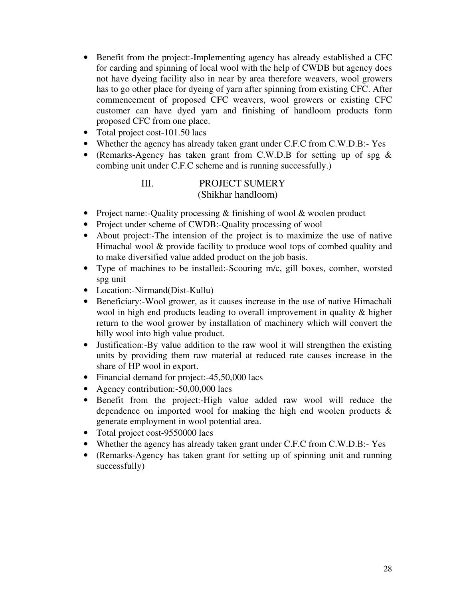- Benefit from the project:-Implementing agency has already established a CFC for carding and spinning of local wool with the help of CWDB but agency does not have dyeing facility also in near by area therefore weavers, wool growers has to go other place for dyeing of yarn after spinning from existing CFC. After commencement of proposed CFC weavers, wool growers or existing CFC customer can have dyed yarn and finishing of handloom products form proposed CFC from one place.
- Total project cost-101.50 lacs
- Whether the agency has already taken grant under C.F.C from C.W.D.B:- Yes
- (Remarks-Agency has taken grant from C.W.D.B for setting up of spg & combing unit under C.F.C scheme and is running successfully.)

## III. PROJECT SUMERY (Shikhar handloom)

- Project name:-Quality processing & finishing of wool & woolen product
- Project under scheme of CWDB:-Quality processing of wool
- About project:-The intension of the project is to maximize the use of native Himachal wool & provide facility to produce wool tops of combed quality and to make diversified value added product on the job basis.
- Type of machines to be installed:-Scouring m/c, gill boxes, comber, worsted spg unit
- Location:-Nirmand(Dist-Kullu)
- Beneficiary:-Wool grower, as it causes increase in the use of native Himachali wool in high end products leading to overall improvement in quality & higher return to the wool grower by installation of machinery which will convert the hilly wool into high value product.
- Justification:-By value addition to the raw wool it will strengthen the existing units by providing them raw material at reduced rate causes increase in the share of HP wool in export.
- Financial demand for project: -45,50,000 lacs
- Agency contribution: -50,00,000 lacs
- Benefit from the project:-High value added raw wool will reduce the dependence on imported wool for making the high end woolen products & generate employment in wool potential area.
- Total project cost-9550000 lacs
- Whether the agency has already taken grant under C.F.C from C.W.D.B:- Yes
- (Remarks-Agency has taken grant for setting up of spinning unit and running successfully)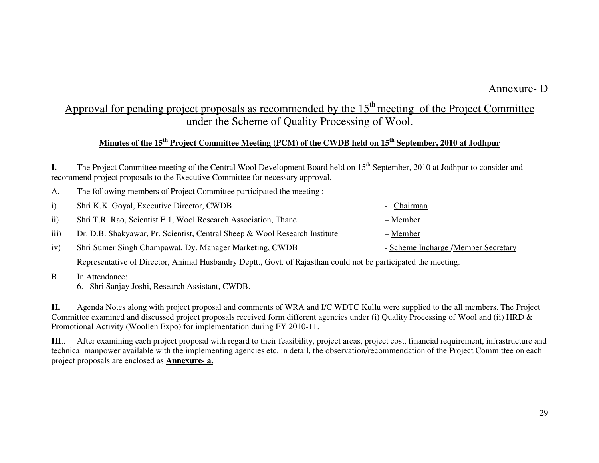# Approval for pending project proposals as recommended by the  $15<sup>th</sup>$  meeting of the Project Committee under the Scheme of Quality Processing of Wool.

## **Minutes of the 15th Project Committee Meeting (PCM) of the CWDB held on 15th September, 2010 at Jodhpur**

**I.** The Project Committee meeting of the Central Wool Development Board held on 15<sup>th</sup> September, 2010 at Jodhpur to consider and recommend project proposals to the Executive Committee for necessary approval.

|                  | Shri K.K. Goyal, Executive Director, CWDB                                  | - Chairman                          |
|------------------|----------------------------------------------------------------------------|-------------------------------------|
| $\rm ii$         | Shri T.R. Rao, Scientist E 1, Wool Research Association, Thane             | – Member                            |
| $\overline{iii}$ | Dr. D.B. Shakyawar, Pr. Scientist, Central Sheep & Wool Research Institute | – Member                            |
| 1V               | Shri Sumer Singh Champawat, Dy. Manager Marketing, CWDB                    | - Scheme Incharge /Member Secretary |
|                  |                                                                            |                                     |

Representative of Director, Animal Husbandry Deptt., Govt. of Rajasthan could not be participated the meeting.

B. In Attendance:

6. Shri Sanjay Joshi, Research Assistant, CWDB.

A. The following members of Project Committee participated the meeting :

**II.** Agenda Notes along with project proposal and comments of WRA and I/C WDTC Kullu were supplied to the all members. The Project Committee examined and discussed project proposals received form different agencies under (i) Quality Processing of Wool and (ii) HRD & Promotional Activity (Woollen Expo) for implementation during FY 2010-11.

**III**.. After examining each project proposal with regard to their feasibility, project areas, project cost, financial requirement, infrastructure and technical manpower available with the implementing agencies etc. in detail, the observation/recommendation of the Project Committee on each project proposals are enclosed as **Annexure- a.**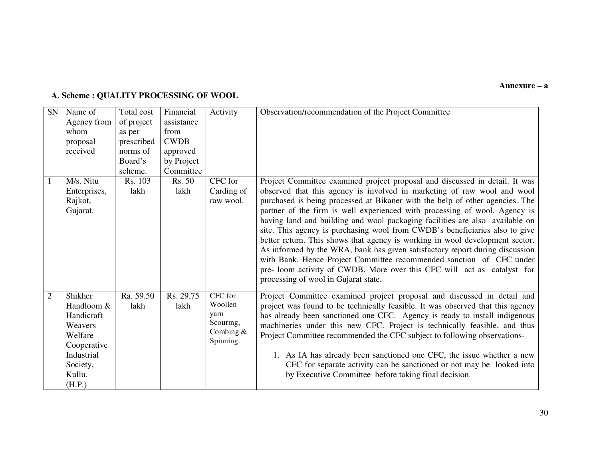#### **Annexure – a**

## **A. Scheme : QUALITY PROCESSING OF WOOL**

| <b>SN</b>      | Name of      | Total cost | Financial   | Activity    | Observation/recommendation of the Project Committee                            |
|----------------|--------------|------------|-------------|-------------|--------------------------------------------------------------------------------|
|                |              |            |             |             |                                                                                |
|                | Agency from  | of project | assistance  |             |                                                                                |
|                | whom         | as per     | from        |             |                                                                                |
|                | proposal     | prescribed | <b>CWDB</b> |             |                                                                                |
|                | received     | norms of   | approved    |             |                                                                                |
|                |              | Board's    | by Project  |             |                                                                                |
|                |              | scheme.    | Committee   |             |                                                                                |
| 1              | M/s. Nitu    | Rs. 103    | Rs. 50      | CFC for     | Project Committee examined project proposal and discussed in detail. It was    |
|                | Enterprises, | lakh       | lakh        | Carding of  | observed that this agency is involved in marketing of raw wool and wool        |
|                | Rajkot,      |            |             | raw wool.   | purchased is being processed at Bikaner with the help of other agencies. The   |
|                | Gujarat.     |            |             |             | partner of the firm is well experienced with processing of wool. Agency is     |
|                |              |            |             |             | having land and building and wool packaging facilities are also available on   |
|                |              |            |             |             | site. This agency is purchasing wool from CWDB's beneficiaries also to give    |
|                |              |            |             |             | better return. This shows that agency is working in wool development sector.   |
|                |              |            |             |             | As informed by the WRA, bank has given satisfactory report during discussion   |
|                |              |            |             |             | with Bank. Hence Project Committee recommended sanction of CFC under           |
|                |              |            |             |             | pre- loom activity of CWDB. More over this CFC will act as catalyst for        |
|                |              |            |             |             |                                                                                |
|                |              |            |             |             | processing of wool in Gujarat state.                                           |
| $\overline{2}$ | Shikher      | Ra. 59.50  | Rs. 29.75   | CFC for     | Project Committee examined project proposal and discussed in detail and        |
|                | Handloom &   | lakh       | lakh        | Woollen     | project was found to be technically feasible. It was observed that this agency |
|                | Handicraft   |            |             | varn        | has already been sanctioned one CFC. Agency is ready to install indigenous     |
|                | Weavers      |            |             | Scouring,   | machineries under this new CFC. Project is technically feasible, and thus      |
|                | Welfare      |            |             | Combing $&$ | Project Committee recommended the CFC subject to following observations-       |
|                | Cooperative  |            |             | Spinning.   |                                                                                |
|                | Industrial   |            |             |             | 1. As IA has already been sanctioned one CFC, the issue whether a new          |
|                | Society,     |            |             |             | CFC for separate activity can be sanctioned or not may be looked into          |
|                | Kullu.       |            |             |             | by Executive Committee before taking final decision.                           |
|                | (H.P.)       |            |             |             |                                                                                |